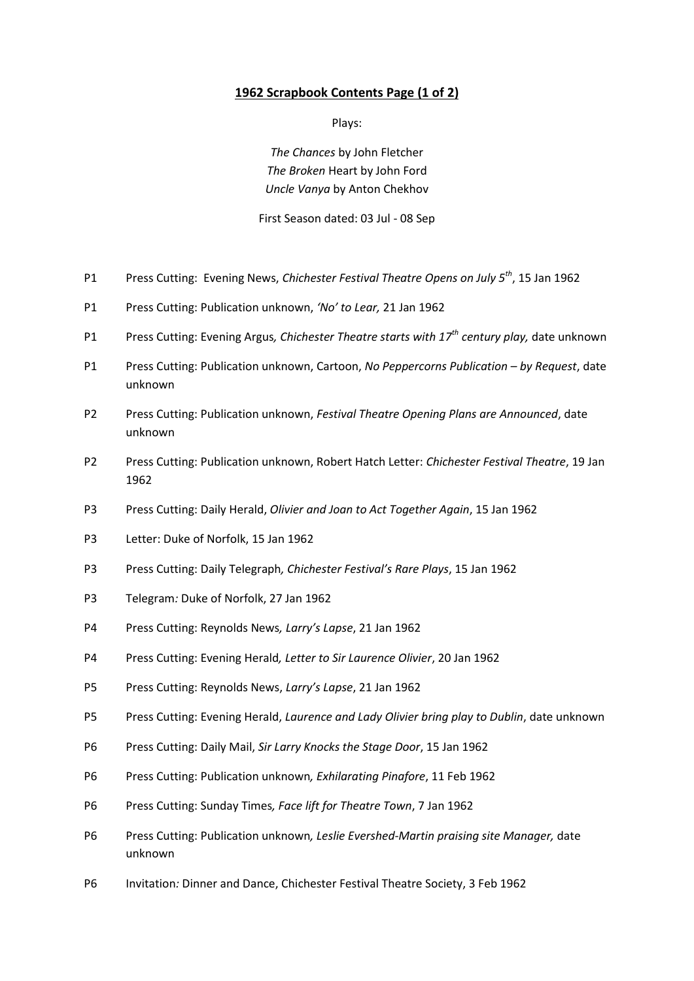## **1962 Scrapbook Contents Page (1 of 2)**

Plays:

*The Chances* by John Fletcher *The Broken* Heart by John Ford *Uncle Vanya* by Anton Chekhov

First Season dated: 03 Jul - 08 Sep

- P1 Press Cutting: Evening News, *Chichester Festival Theatre Opens on July 5th* , 15 Jan 1962
- P1 Press Cutting: Publication unknown, *'No' to Lear,* 21 Jan 1962
- P1 Press Cutting: Evening Argus*, Chichester Theatre starts with 17th century play,* date unknown
- P1 Press Cutting: Publication unknown, Cartoon, *No Peppercorns Publication – by Request*, date unknown
- P2 Press Cutting: Publication unknown, *Festival Theatre Opening Plans are Announced*, date unknown
- P2 Press Cutting: Publication unknown, Robert Hatch Letter: *Chichester Festival Theatre*, 19 Jan 1962
- P3 Press Cutting: Daily Herald, *Olivier and Joan to Act Together Again*, 15 Jan 1962
- P3 Letter: Duke of Norfolk, 15 Jan 1962
- P3 Press Cutting: Daily Telegraph*, Chichester Festival's Rare Plays*, 15 Jan 1962
- P3 Telegram*:* Duke of Norfolk, 27 Jan 1962
- P4 Press Cutting: Reynolds News*, Larry's Lapse*, 21 Jan 1962
- P4 Press Cutting: Evening Herald*, Letter to Sir Laurence Olivier*, 20 Jan 1962
- P5 Press Cutting: Reynolds News, *Larry's Lapse*, 21 Jan 1962
- P5 Press Cutting: Evening Herald, *Laurence and Lady Olivier bring play to Dublin*, date unknown
- P6 Press Cutting: Daily Mail, *Sir Larry Knocks the Stage Door*, 15 Jan 1962
- P6 Press Cutting: Publication unknown*, Exhilarating Pinafore*, 11 Feb 1962
- P6 Press Cutting: Sunday Times*, Face lift for Theatre Town*, 7 Jan 1962
- P6 Press Cutting: Publication unknown*, Leslie Evershed-Martin praising site Manager,* date unknown
- P6 Invitation*:* Dinner and Dance, Chichester Festival Theatre Society, 3 Feb 1962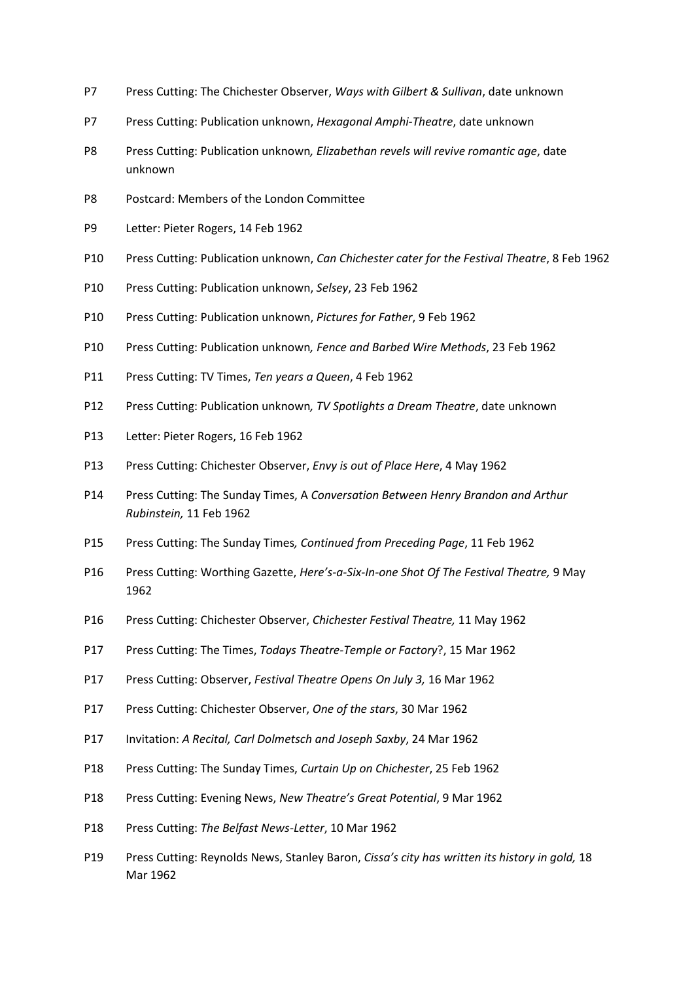- P7 Press Cutting: The Chichester Observer, *Ways with Gilbert & Sullivan*, date unknown
- P7 Press Cutting: Publication unknown, *Hexagonal Amphi-Theatre*, date unknown
- P8 Press Cutting: Publication unknown*, Elizabethan revels will revive romantic age*, date unknown
- P8 Postcard: Members of the London Committee
- P9 Letter: Pieter Rogers, 14 Feb 1962
- P10 Press Cutting: Publication unknown, *Can Chichester cater for the Festival Theatre*, 8 Feb 1962
- P10 Press Cutting: Publication unknown, *Selsey*, 23 Feb 1962
- P10 Press Cutting: Publication unknown, *Pictures for Father*, 9 Feb 1962
- P10 Press Cutting: Publication unknown*, Fence and Barbed Wire Methods*, 23 Feb 1962
- P11 Press Cutting: TV Times, *Ten years a Queen*, 4 Feb 1962
- P12 Press Cutting: Publication unknown*, TV Spotlights a Dream Theatre*, date unknown
- P13 Letter: Pieter Rogers, 16 Feb 1962
- P13 Press Cutting: Chichester Observer, *Envy is out of Place Here*, 4 May 1962
- P14 Press Cutting: The Sunday Times, A *Conversation Between Henry Brandon and Arthur Rubinstein,* 11 Feb 1962
- P15 Press Cutting: The Sunday Times*, Continued from Preceding Page*, 11 Feb 1962
- P16 Press Cutting: Worthing Gazette, *Here's-a-Six-In-one Shot Of The Festival Theatre,* 9 May 1962
- P16 Press Cutting: Chichester Observer, *Chichester Festival Theatre,* 11 May 1962
- P17 Press Cutting: The Times, *Todays Theatre-Temple or Factory*?, 15 Mar 1962
- P17 Press Cutting: Observer, *Festival Theatre Opens On July 3,* 16 Mar 1962
- P17 Press Cutting: Chichester Observer, *One of the stars*, 30 Mar 1962
- P17 Invitation: *A Recital, Carl Dolmetsch and Joseph Saxby*, 24 Mar 1962
- P18 Press Cutting: The Sunday Times, *Curtain Up on Chichester*, 25 Feb 1962
- P18 Press Cutting: Evening News, *New Theatre's Great Potential*, 9 Mar 1962
- P18 Press Cutting: *The Belfast News-Letter*, 10 Mar 1962
- P19 Press Cutting: Reynolds News, Stanley Baron, *Cissa's city has written its history in gold,* 18 Mar 1962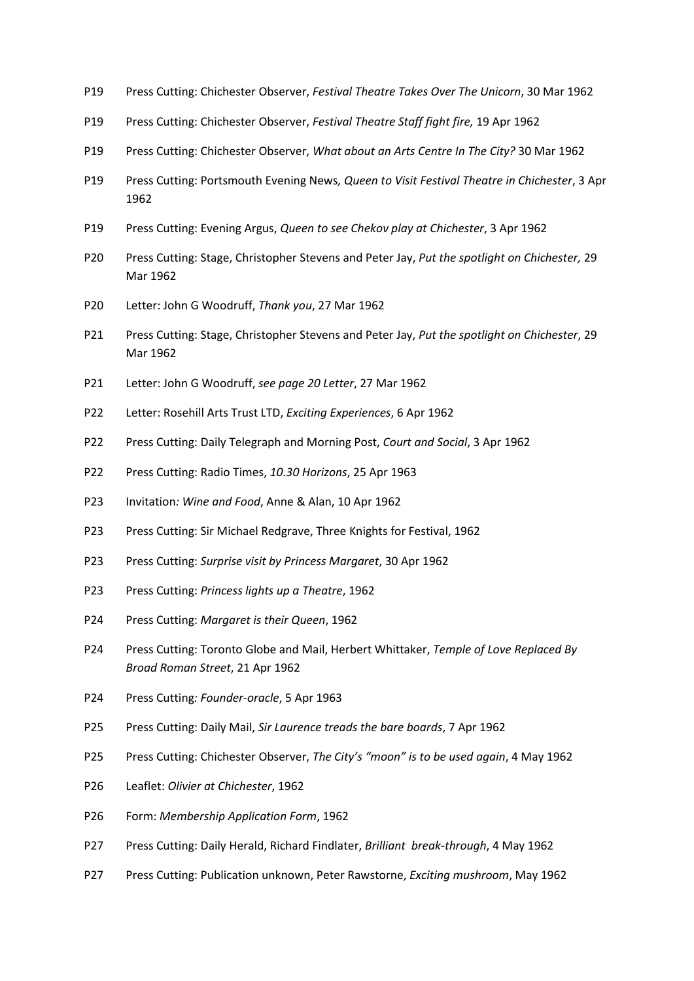- P19 Press Cutting: Chichester Observer, *Festival Theatre Takes Over The Unicorn*, 30 Mar 1962
- P19 Press Cutting: Chichester Observer, *Festival Theatre Staff fight fire,* 19 Apr 1962
- P19 Press Cutting: Chichester Observer, *What about an Arts Centre In The City?* 30 Mar 1962
- P19 Press Cutting: Portsmouth Evening News*, Queen to Visit Festival Theatre in Chichester*, 3 Apr 1962
- P19 Press Cutting: Evening Argus, *Queen to see Chekov play at Chichester*, 3 Apr 1962
- P20 Press Cutting: Stage, Christopher Stevens and Peter Jay, *Put the spotlight on Chichester,* 29 Mar 1962
- P20 Letter: John G Woodruff, *Thank you*, 27 Mar 1962
- P21 Press Cutting: Stage, Christopher Stevens and Peter Jay, *Put the spotlight on Chichester*, 29 Mar 1962
- P21 Letter: John G Woodruff, *see page 20 Letter*, 27 Mar 1962
- P22 Letter: Rosehill Arts Trust LTD, *Exciting Experiences*, 6 Apr 1962
- P22 Press Cutting: Daily Telegraph and Morning Post, *Court and Social*, 3 Apr 1962
- P22 Press Cutting: Radio Times, *10.30 Horizons*, 25 Apr 1963
- P23 Invitation*: Wine and Food*, Anne & Alan, 10 Apr 1962
- P23 Press Cutting: Sir Michael Redgrave, Three Knights for Festival, 1962
- P23 Press Cutting: *Surprise visit by Princess Margaret*, 30 Apr 1962
- P23 Press Cutting: *Princess lights up a Theatre*, 1962
- P24 Press Cutting: *Margaret is their Queen*, 1962
- P24 Press Cutting: Toronto Globe and Mail, Herbert Whittaker, *Temple of Love Replaced By Broad Roman Street*, 21 Apr 1962
- P24 Press Cutting*: Founder-oracle*, 5 Apr 1963
- P25 Press Cutting: Daily Mail, *Sir Laurence treads the bare boards*, 7 Apr 1962
- P25 Press Cutting: Chichester Observer, *The City's "moon" is to be used again*, 4 May 1962
- P26 Leaflet: *Olivier at Chichester*, 1962
- P26 Form: *Membership Application Form*, 1962
- P27 Press Cutting: Daily Herald, Richard Findlater, *Brilliant break-through*, 4 May 1962
- P27 Press Cutting: Publication unknown, Peter Rawstorne, *Exciting mushroom*, May 1962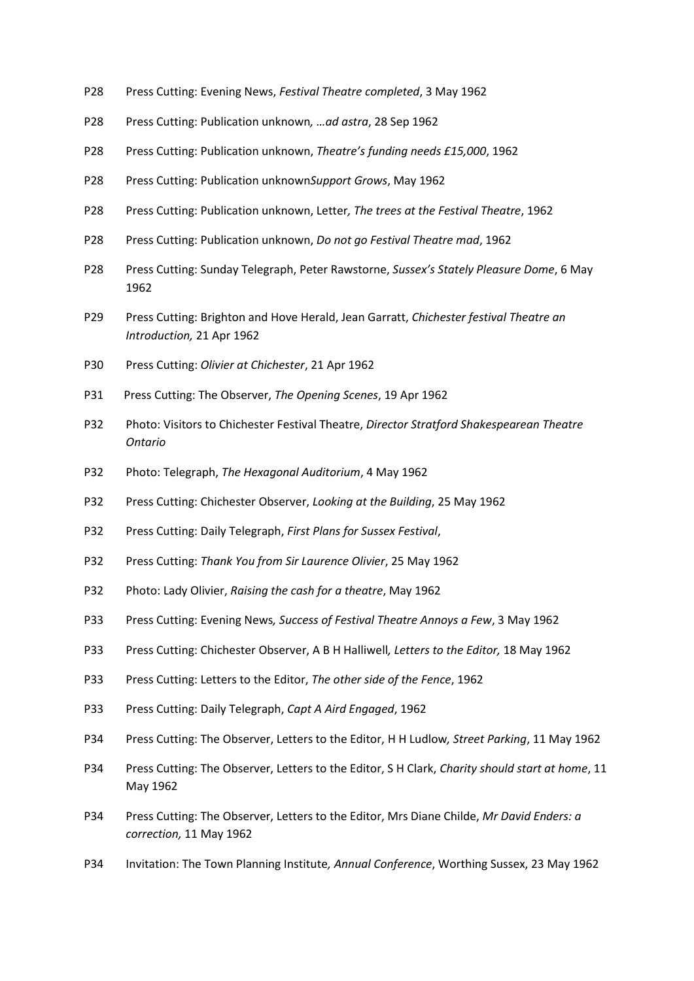- P28 Press Cutting: Evening News, *Festival Theatre completed*, 3 May 1962
- P28 Press Cutting: Publication unknown*, …ad astra*, 28 Sep 1962
- P28 Press Cutting: Publication unknown, *Theatre's funding needs £15,000*, 1962
- P28 Press Cutting: Publication unknown*Support Grows*, May 1962
- P28 Press Cutting: Publication unknown, Letter*, The trees at the Festival Theatre*, 1962
- P28 Press Cutting: Publication unknown, *Do not go Festival Theatre mad*, 1962
- P28 Press Cutting: Sunday Telegraph, Peter Rawstorne, *Sussex's Stately Pleasure Dome*, 6 May 1962
- P29 Press Cutting: Brighton and Hove Herald, Jean Garratt, *Chichester festival Theatre an Introduction,* 21 Apr 1962
- P30 Press Cutting: *Olivier at Chichester*, 21 Apr 1962
- P31 Press Cutting: The Observer, *The Opening Scenes*, 19 Apr 1962
- P32 Photo: Visitors to Chichester Festival Theatre, *Director Stratford Shakespearean Theatre Ontario*
- P32 Photo: Telegraph, *The Hexagonal Auditorium*, 4 May 1962
- P32 Press Cutting: Chichester Observer, *Looking at the Building*, 25 May 1962
- P32 Press Cutting: Daily Telegraph, *First Plans for Sussex Festival*,
- P32 Press Cutting: *Thank You from Sir Laurence Olivier*, 25 May 1962
- P32 Photo: Lady Olivier, *Raising the cash for a theatre*, May 1962
- P33 Press Cutting: Evening News*, Success of Festival Theatre Annoys a Few*, 3 May 1962
- P33 Press Cutting: Chichester Observer, A B H Halliwell*, Letters to the Editor,* 18 May 1962
- P33 Press Cutting: Letters to the Editor, *The other side of the Fence*, 1962
- P33 Press Cutting: Daily Telegraph, *Capt A Aird Engaged*, 1962
- P34 Press Cutting: The Observer, Letters to the Editor, H H Ludlow*, Street Parking*, 11 May 1962
- P34 Press Cutting: The Observer, Letters to the Editor, S H Clark, *Charity should start at home*, 11 May 1962
- P34 Press Cutting: The Observer, Letters to the Editor, Mrs Diane Childe, *Mr David Enders: a correction,* 11 May 1962
- P34 Invitation: The Town Planning Institute*, Annual Conference*, Worthing Sussex, 23 May 1962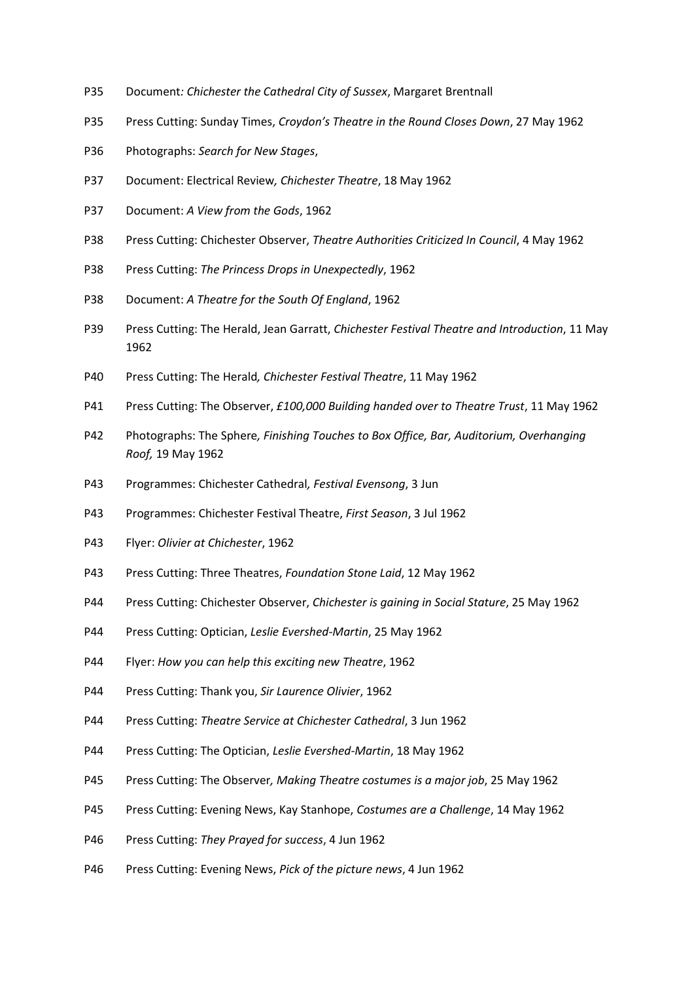- P35 Document*: Chichester the Cathedral City of Sussex*, Margaret Brentnall
- P35 Press Cutting: Sunday Times, *Croydon's Theatre in the Round Closes Down*, 27 May 1962
- P36 Photographs: *Search for New Stages*,
- P37 Document: Electrical Review*, Chichester Theatre*, 18 May 1962
- P37 Document: *A View from the Gods*, 1962
- P38 Press Cutting: Chichester Observer, *Theatre Authorities Criticized In Council*, 4 May 1962
- P38 Press Cutting: *The Princess Drops in Unexpectedly*, 1962
- P38 Document: *A Theatre for the South Of England*, 1962
- P39 Press Cutting: The Herald, Jean Garratt, *Chichester Festival Theatre and Introduction*, 11 May 1962
- P40 Press Cutting: The Herald*, Chichester Festival Theatre*, 11 May 1962
- P41 Press Cutting: The Observer, *£100,000 Building handed over to Theatre Trust*, 11 May 1962
- P42 Photographs: The Sphere*, Finishing Touches to Box Office, Bar, Auditorium, Overhanging Roof,* 19 May 1962
- P43 Programmes: Chichester Cathedral*, Festival Evensong*, 3 Jun
- P43 Programmes: Chichester Festival Theatre, *First Season*, 3 Jul 1962
- P43 Flyer: *Olivier at Chichester*, 1962
- P43 Press Cutting: Three Theatres, *Foundation Stone Laid*, 12 May 1962
- P44 Press Cutting: Chichester Observer, *Chichester is gaining in Social Stature*, 25 May 1962
- P44 Press Cutting: Optician, *Leslie Evershed-Martin*, 25 May 1962
- P44 Flyer: *How you can help this exciting new Theatre*, 1962
- P44 Press Cutting: Thank you, *Sir Laurence Olivier*, 1962
- P44 Press Cutting: *Theatre Service at Chichester Cathedral*, 3 Jun 1962
- P44 Press Cutting: The Optician, *Leslie Evershed-Martin*, 18 May 1962
- P45 Press Cutting: The Observer*, Making Theatre costumes is a major job*, 25 May 1962
- P45 Press Cutting: Evening News, Kay Stanhope, *Costumes are a Challenge*, 14 May 1962
- P46 Press Cutting: *They Prayed for success*, 4 Jun 1962
- P46 Press Cutting: Evening News, *Pick of the picture news*, 4 Jun 1962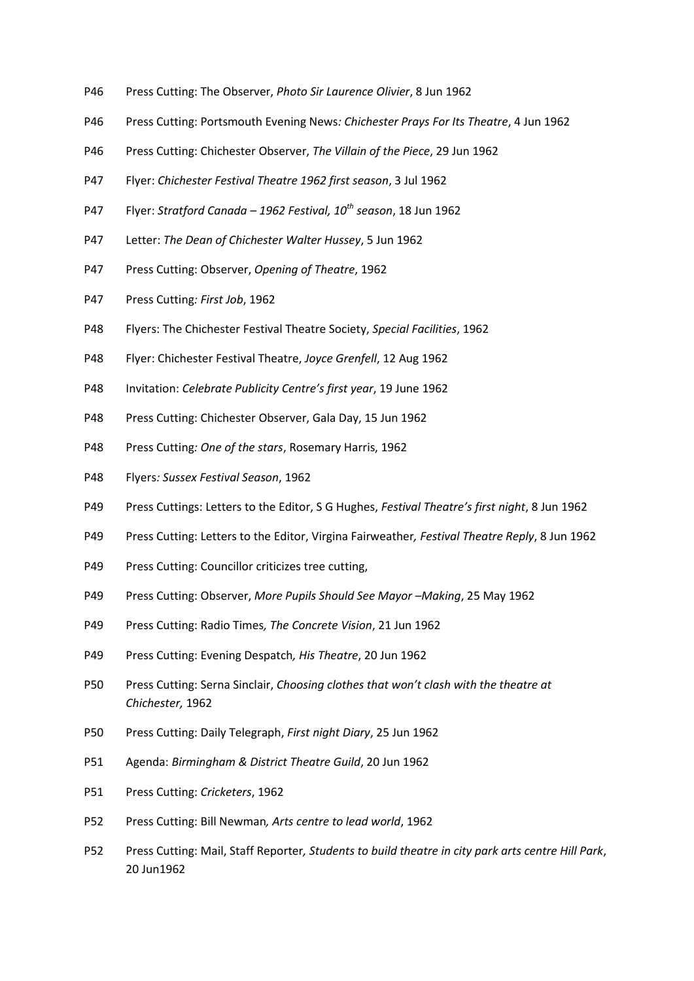- P46 Press Cutting: The Observer, *Photo Sir Laurence Olivier*, 8 Jun 1962
- P46 Press Cutting: Portsmouth Evening News*: Chichester Prays For Its Theatre*, 4 Jun 1962
- P46 Press Cutting: Chichester Observer, *The Villain of the Piece*, 29 Jun 1962
- P47 Flyer: *Chichester Festival Theatre 1962 first season*, 3 Jul 1962
- P47 Flyer: *Stratford Canada – 1962 Festival, 10th season*, 18 Jun 1962
- P47 Letter: *The Dean of Chichester Walter Hussey*, 5 Jun 1962
- P47 Press Cutting: Observer, *Opening of Theatre*, 1962
- P47 Press Cutting*: First Job*, 1962
- P48 Flyers: The Chichester Festival Theatre Society, *Special Facilities*, 1962
- P48 Flyer: Chichester Festival Theatre, *Joyce Grenfell*, 12 Aug 1962
- P48 Invitation: *Celebrate Publicity Centre's first year*, 19 June 1962
- P48 Press Cutting: Chichester Observer, Gala Day, 15 Jun 1962
- P48 Press Cutting*: One of the stars*, Rosemary Harris, 1962
- P48 Flyers*: Sussex Festival Season*, 1962
- P49 Press Cuttings: Letters to the Editor, S G Hughes, *Festival Theatre's first night*, 8 Jun 1962
- P49 Press Cutting: Letters to the Editor, Virgina Fairweather*, Festival Theatre Reply*, 8 Jun 1962
- P49 Press Cutting: Councillor criticizes tree cutting,
- P49 Press Cutting: Observer, *More Pupils Should See Mayor –Making*, 25 May 1962
- P49 Press Cutting: Radio Times*, The Concrete Vision*, 21 Jun 1962
- P49 Press Cutting: Evening Despatch*, His Theatre*, 20 Jun 1962
- P50 Press Cutting: Serna Sinclair, *Choosing clothes that won't clash with the theatre at Chichester,* 1962
- P50 Press Cutting: Daily Telegraph, *First night Diary*, 25 Jun 1962
- P51 Agenda: *Birmingham & District Theatre Guild*, 20 Jun 1962
- P51 Press Cutting: *Cricketers*, 1962
- P52 Press Cutting: Bill Newman*, Arts centre to lead world*, 1962
- P52 Press Cutting: Mail, Staff Reporter*, Students to build theatre in city park arts centre Hill Park*, 20 Jun1962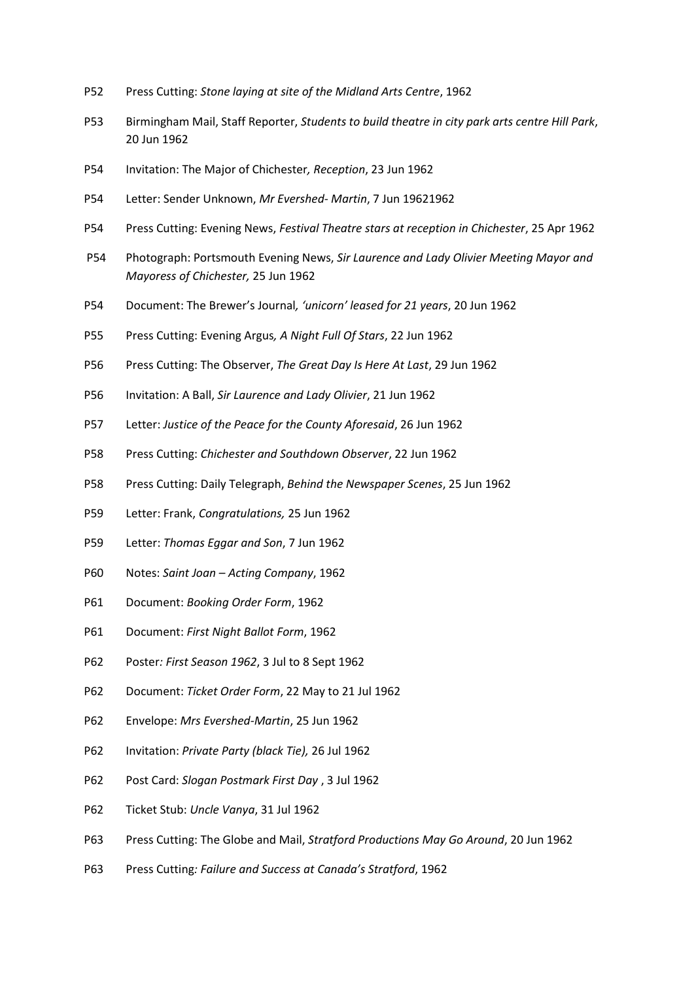- P52 Press Cutting: *Stone laying at site of the Midland Arts Centre*, 1962
- P53 Birmingham Mail, Staff Reporter, *Students to build theatre in city park arts centre Hill Park*, 20 Jun 1962
- P54 Invitation: The Major of Chichester*, Reception*, 23 Jun 1962
- P54 Letter: Sender Unknown, *Mr Evershed- Martin*, 7 Jun 19621962
- P54 Press Cutting: Evening News, *Festival Theatre stars at reception in Chichester*, 25 Apr 1962
- P54 Photograph: Portsmouth Evening News, *Sir Laurence and Lady Olivier Meeting Mayor and Mayoress of Chichester,* 25 Jun 1962
- P54 Document: The Brewer's Journal*, 'unicorn' leased for 21 years*, 20 Jun 1962
- P55 Press Cutting: Evening Argus*, A Night Full Of Stars*, 22 Jun 1962
- P56 Press Cutting: The Observer, *The Great Day Is Here At Last*, 29 Jun 1962
- P56 Invitation: A Ball, *Sir Laurence and Lady Olivier*, 21 Jun 1962
- P57 Letter: *Justice of the Peace for the County Aforesaid*, 26 Jun 1962
- P58 Press Cutting: *Chichester and Southdown Observer*, 22 Jun 1962
- P58 Press Cutting: Daily Telegraph, *Behind the Newspaper Scenes*, 25 Jun 1962
- P59 Letter: Frank, *Congratulations,* 25 Jun 1962
- P59 Letter: *Thomas Eggar and Son*, 7 Jun 1962
- P60 Notes: *Saint Joan – Acting Company*, 1962
- P61 Document: *Booking Order Form*, 1962
- P61 Document: *First Night Ballot Form*, 1962
- P62 Poster*: First Season 1962*, 3 Jul to 8 Sept 1962
- P62 Document: *Ticket Order Form*, 22 May to 21 Jul 1962
- P62 Envelope: *Mrs Evershed-Martin*, 25 Jun 1962
- P62 Invitation: *Private Party (black Tie),* 26 Jul 1962
- P62 Post Card: *Slogan Postmark First Day* , 3 Jul 1962
- P62 Ticket Stub: *Uncle Vanya*, 31 Jul 1962
- P63 Press Cutting: The Globe and Mail, *Stratford Productions May Go Around*, 20 Jun 1962
- P63 Press Cutting*: Failure and Success at Canada's Stratford*, 1962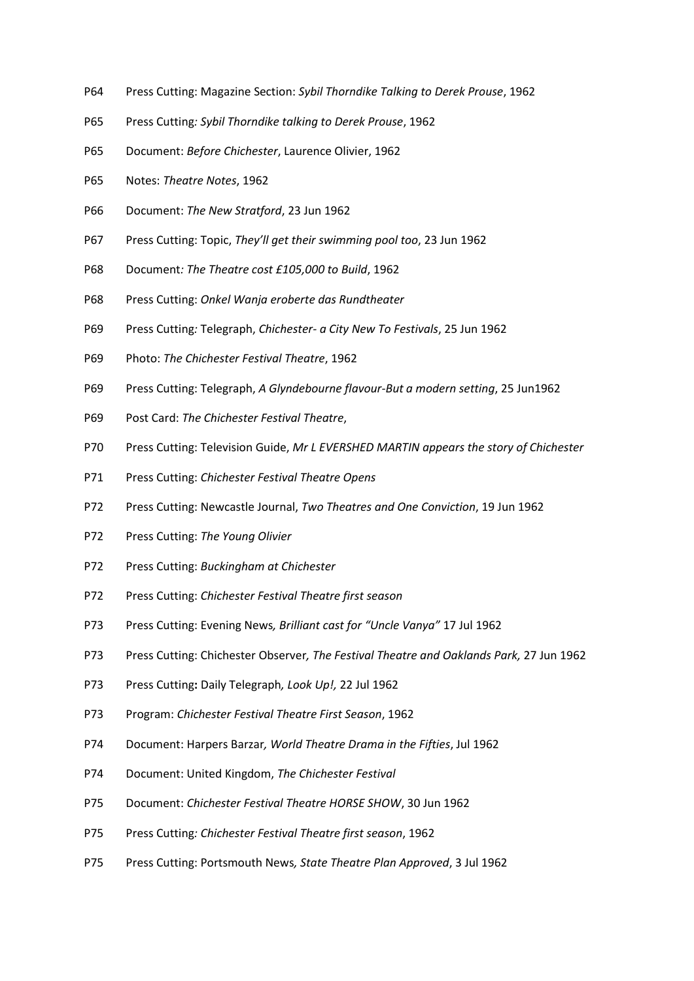- P64 Press Cutting: Magazine Section: *Sybil Thorndike Talking to Derek Prouse*, 1962
- P65 Press Cutting*: Sybil Thorndike talking to Derek Prouse*, 1962
- P65 Document: *Before Chichester*, Laurence Olivier, 1962
- P65 Notes: *Theatre Notes*, 1962
- P66 Document: *The New Stratford*, 23 Jun 1962
- P67 Press Cutting: Topic, *They'll get their swimming pool too*, 23 Jun 1962
- P68 Document*: The Theatre cost £105,000 to Build*, 1962
- P68 Press Cutting: *Onkel Wanja eroberte das Rundtheater*
- P69 Press Cutting*:* Telegraph, *Chichester- a City New To Festivals*, 25 Jun 1962
- P69 Photo: *The Chichester Festival Theatre*, 1962
- P69 Press Cutting: Telegraph, *A Glyndebourne flavour-But a modern setting*, 25 Jun1962
- P69 Post Card: *The Chichester Festival Theatre*,
- P70 Press Cutting: Television Guide, *Mr L EVERSHED MARTIN appears the story of Chichester*
- P71 Press Cutting: *Chichester Festival Theatre Opens*
- P72 Press Cutting: Newcastle Journal, *Two Theatres and One Conviction*, 19 Jun 1962
- P72 Press Cutting: *The Young Olivier*
- P72 Press Cutting: *Buckingham at Chichester*
- P72 Press Cutting: *Chichester Festival Theatre first season*
- P73 Press Cutting: Evening News*, Brilliant cast for "Uncle Vanya"* 17 Jul 1962
- P73 Press Cutting: Chichester Observer*, The Festival Theatre and Oaklands Park,* 27 Jun 1962
- P73 Press Cutting**:** Daily Telegraph*, Look Up!,* 22 Jul 1962
- P73 Program: *Chichester Festival Theatre First Season*, 1962
- P74 Document: Harpers Barzar*, World Theatre Drama in the Fifties*, Jul 1962
- P74 Document: United Kingdom, *The Chichester Festival*
- P75 Document: *Chichester Festival Theatre HORSE SHOW*, 30 Jun 1962
- P75 Press Cutting*: Chichester Festival Theatre first season*, 1962
- P75 Press Cutting: Portsmouth News*, State Theatre Plan Approved*, 3 Jul 1962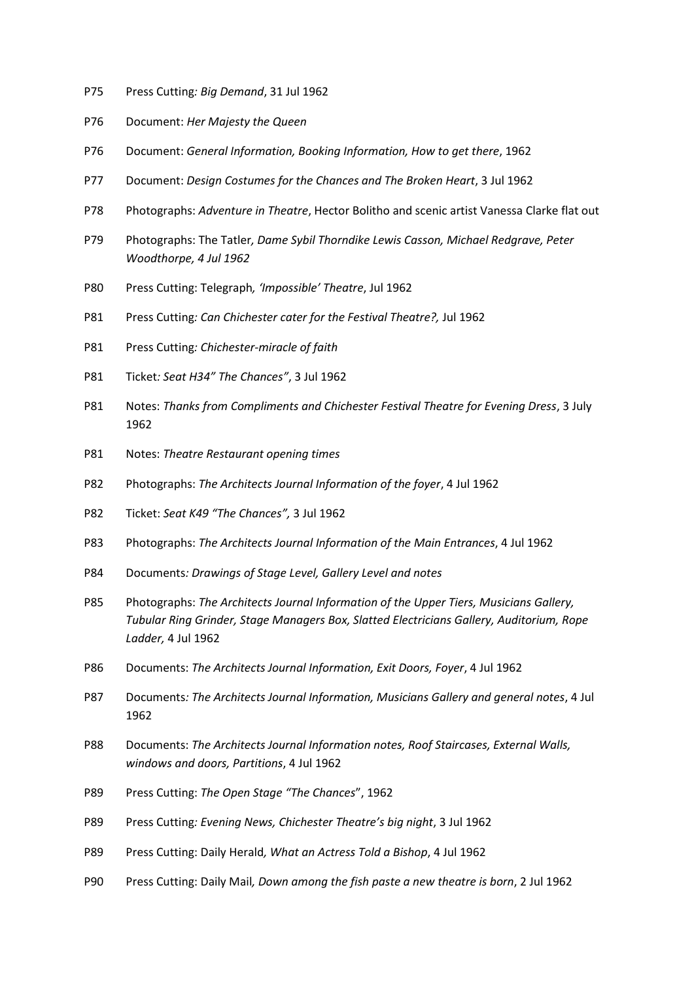- P75 Press Cutting*: Big Demand*, 31 Jul 1962
- P76 Document: *Her Majesty the Queen*
- P76 Document: *General Information, Booking Information, How to get there*, 1962
- P77 Document: *Design Costumes for the Chances and The Broken Heart*, 3 Jul 1962
- P78 Photographs: *Adventure in Theatre*, Hector Bolitho and scenic artist Vanessa Clarke flat out
- P79 Photographs: The Tatler*, Dame Sybil Thorndike Lewis Casson, Michael Redgrave, Peter Woodthorpe, 4 Jul 1962*
- P80 Press Cutting: Telegraph*, 'Impossible' Theatre*, Jul 1962
- P81 Press Cutting*: Can Chichester cater for the Festival Theatre?,* Jul 1962
- P81 Press Cutting*: Chichester-miracle of faith*
- P81 Ticket*: Seat H34" The Chances"*, 3 Jul 1962
- P81 Notes: *Thanks from Compliments and Chichester Festival Theatre for Evening Dress*, 3 July 1962
- P81 Notes: *Theatre Restaurant opening times*
- P82 Photographs: *The Architects Journal Information of the foyer*, 4 Jul 1962
- P82 Ticket: *Seat K49 "The Chances",* 3 Jul 1962
- P83 Photographs: *The Architects Journal Information of the Main Entrances*, 4 Jul 1962
- P84 Documents*: Drawings of Stage Level, Gallery Level and notes*
- P85 Photographs: *The Architects Journal Information of the Upper Tiers, Musicians Gallery, Tubular Ring Grinder, Stage Managers Box, Slatted Electricians Gallery, Auditorium, Rope Ladder,* 4 Jul 1962
- P86 Documents: *The Architects Journal Information, Exit Doors, Foyer*, 4 Jul 1962
- P87 Documents*: The Architects Journal Information, Musicians Gallery and general notes*, 4 Jul 1962
- P88 Documents: *The Architects Journal Information notes, Roof Staircases, External Walls, windows and doors, Partitions*, 4 Jul 1962
- P89 Press Cutting: *The Open Stage "The Chances*", 1962
- P89 Press Cutting*: Evening News, Chichester Theatre's big night*, 3 Jul 1962
- P89 Press Cutting: Daily Herald*, What an Actress Told a Bishop*, 4 Jul 1962
- P90 Press Cutting: Daily Mail*, Down among the fish paste a new theatre is born*, 2 Jul 1962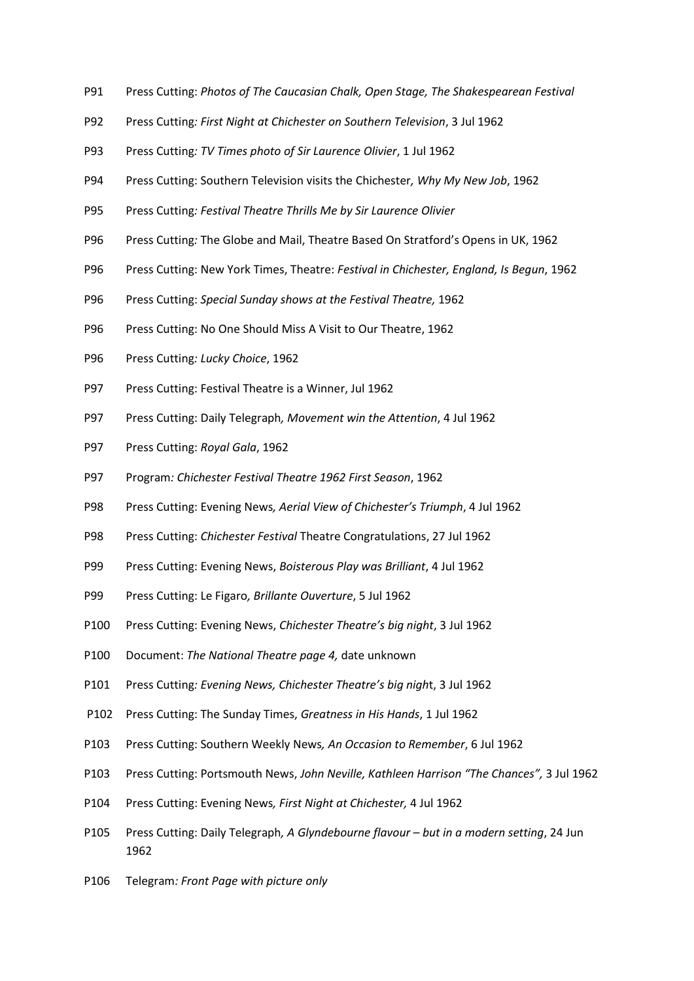- P91 Press Cutting: *Photos of The Caucasian Chalk, Open Stage, The Shakespearean Festival*
- P92 Press Cutting*: First Night at Chichester on Southern Television*, 3 Jul 1962
- P93 Press Cutting*: TV Times photo of Sir Laurence Olivier*, 1 Jul 1962
- P94 Press Cutting: Southern Television visits the Chichester*, Why My New Job*, 1962
- P95 Press Cutting*: Festival Theatre Thrills Me by Sir Laurence Olivier*
- P96 Press Cutting*:* The Globe and Mail, Theatre Based On Stratford's Opens in UK, 1962
- P96 Press Cutting: New York Times, Theatre: *Festival in Chichester, England, Is Begun*, 1962
- P96 Press Cutting: *Special Sunday shows at the Festival Theatre,* 1962
- P96 Press Cutting: No One Should Miss A Visit to Our Theatre, 1962
- P96 Press Cutting*: Lucky Choice*, 1962
- P97 Press Cutting: Festival Theatre is a Winner, Jul 1962
- P97 Press Cutting: Daily Telegraph*, Movement win the Attention*, 4 Jul 1962
- P97 Press Cutting: *Royal Gala*, 1962
- P97 Program*: Chichester Festival Theatre 1962 First Season*, 1962
- P98 Press Cutting: Evening News*, Aerial View of Chichester's Triumph*, 4 Jul 1962
- P98 Press Cutting: *Chichester Festival* Theatre Congratulations, 27 Jul 1962
- P99 Press Cutting: Evening News, *Boisterous Play was Brilliant*, 4 Jul 1962
- P99 Press Cutting: Le Figaro*, Brillante Ouverture*, 5 Jul 1962
- P100 Press Cutting: Evening News, *Chichester Theatre's big night*, 3 Jul 1962
- P100 Document: *The National Theatre page 4,* date unknown
- P101 Press Cutting*: Evening News, Chichester Theatre's big nigh*t, 3 Jul 1962
- P102 Press Cutting: The Sunday Times, *Greatness in His Hands*, 1 Jul 1962
- P103 Press Cutting: Southern Weekly News*, An Occasion to Remember*, 6 Jul 1962
- P103 Press Cutting: Portsmouth News, *John Neville, Kathleen Harrison "The Chances",* 3 Jul 1962
- P104 Press Cutting: Evening News*, First Night at Chichester,* 4 Jul 1962
- P105 Press Cutting: Daily Telegraph*, A Glyndebourne flavour – but in a modern setting*, 24 Jun 1962
- P106 Telegram*: Front Page with picture only*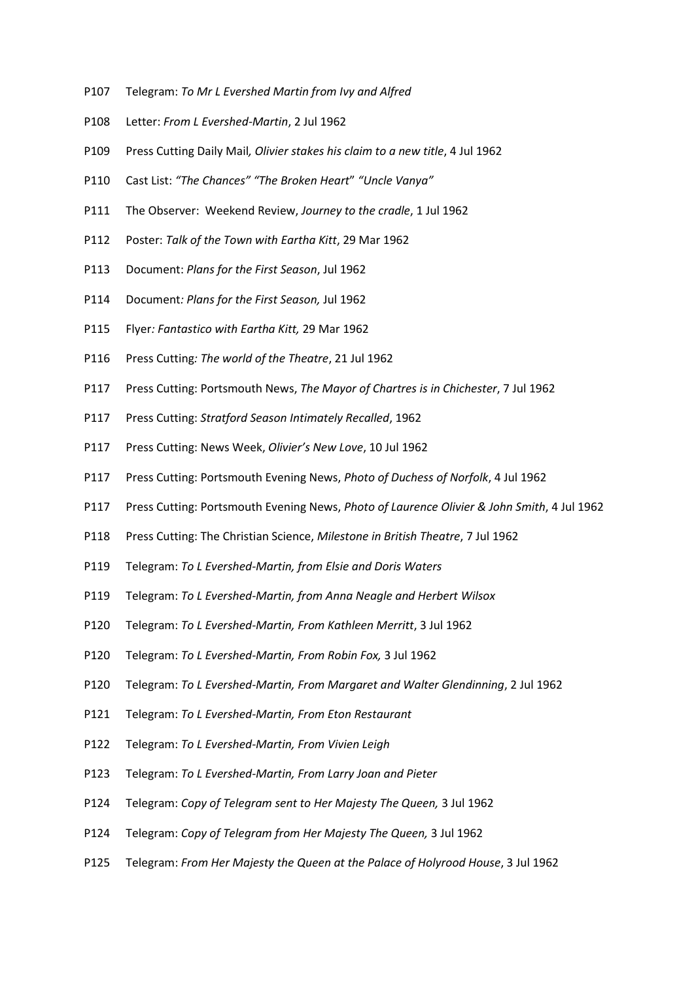- P107 Telegram: *To Mr L Evershed Martin from Ivy and Alfred*
- P108 Letter: *From L Evershed-Martin*, 2 Jul 1962
- P109 Press Cutting Daily Mail*, Olivier stakes his claim to a new title*, 4 Jul 1962
- P110 Cast List: *"The Chances" "The Broken Heart*" *"Uncle Vanya"*
- P111 The Observer: Weekend Review, *Journey to the cradle*, 1 Jul 1962
- P112 Poster: *Talk of the Town with Eartha Kitt*, 29 Mar 1962
- P113 Document: *Plans for the First Season*, Jul 1962
- P114 Document*: Plans for the First Season,* Jul 1962
- P115 Flyer*: Fantastico with Eartha Kitt,* 29 Mar 1962
- P116 Press Cutting*: The world of the Theatre*, 21 Jul 1962
- P117 Press Cutting: Portsmouth News, *The Mayor of Chartres is in Chichester*, 7 Jul 1962
- P117 Press Cutting: *Stratford Season Intimately Recalled*, 1962
- P117 Press Cutting: News Week, *Olivier's New Love*, 10 Jul 1962
- P117 Press Cutting: Portsmouth Evening News, *Photo of Duchess of Norfolk*, 4 Jul 1962
- P117 Press Cutting: Portsmouth Evening News, *Photo of Laurence Olivier & John Smith*, 4 Jul 1962
- P118 Press Cutting: The Christian Science, *Milestone in British Theatre*, 7 Jul 1962
- P119 Telegram: *To L Evershed-Martin, from Elsie and Doris Waters*
- P119 Telegram: *To L Evershed-Martin, from Anna Neagle and Herbert Wilsox*
- P120 Telegram: *To L Evershed-Martin, From Kathleen Merritt*, 3 Jul 1962
- P120 Telegram: *To L Evershed-Martin, From Robin Fox,* 3 Jul 1962
- P120 Telegram: *To L Evershed-Martin, From Margaret and Walter Glendinning*, 2 Jul 1962
- P121 Telegram: *To L Evershed-Martin, From Eton Restaurant*
- P122 Telegram: *To L Evershed-Martin, From Vivien Leigh*
- P123 Telegram: *To L Evershed-Martin, From Larry Joan and Pieter*
- P124 Telegram: *Copy of Telegram sent to Her Majesty The Queen,* 3 Jul 1962
- P124 Telegram: *Copy of Telegram from Her Majesty The Queen,* 3 Jul 1962
- P125 Telegram: *From Her Majesty the Queen at the Palace of Holyrood House*, 3 Jul 1962